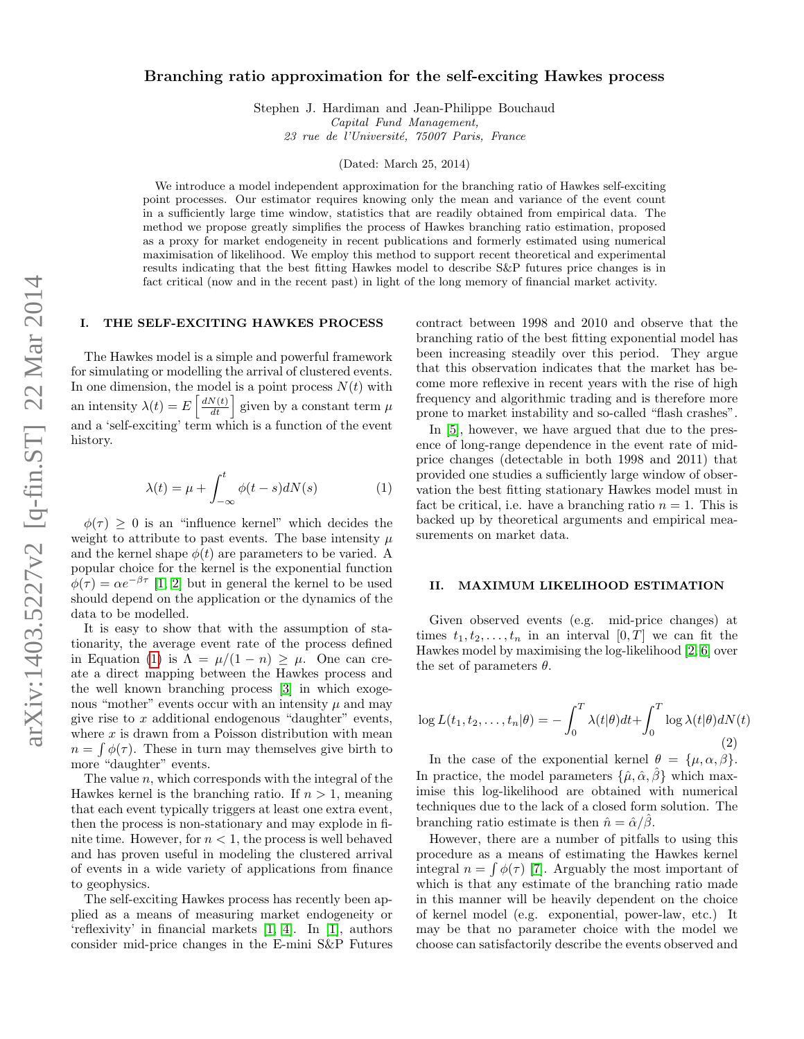# arXiv:1403.5227v2 [q-fin.ST] 22 Mar 2014 arXiv:1403.5227v2 [q-fin.ST] 22 Mar 2014

# Branching ratio approximation for the self-exciting Hawkes process

Stephen J. Hardiman and Jean-Philippe Bouchaud Capital Fund Management, 23 rue de l'Université, 75007 Paris, France

(Dated: March 25, 2014)

We introduce a model independent approximation for the branching ratio of Hawkes self-exciting point processes. Our estimator requires knowing only the mean and variance of the event count in a sufficiently large time window, statistics that are readily obtained from empirical data. The method we propose greatly simplifies the process of Hawkes branching ratio estimation, proposed as a proxy for market endogeneity in recent publications and formerly estimated using numerical maximisation of likelihood. We employ this method to support recent theoretical and experimental results indicating that the best fitting Hawkes model to describe S&P futures price changes is in fact critical (now and in the recent past) in light of the long memory of financial market activity.

# I. THE SELF-EXCITING HAWKES PROCESS

The Hawkes model is a simple and powerful framework for simulating or modelling the arrival of clustered events. In one dimension, the model is a point process  $N(t)$  with an intensity  $\lambda(t) = E\left[\frac{dN(t)}{dt}\right]$  given by a constant term  $\mu$ and a 'self-exciting' term which is a function of the event history.

<span id="page-0-0"></span>
$$
\lambda(t) = \mu + \int_{-\infty}^{t} \phi(t - s) dN(s) \tag{1}
$$

 $\phi(\tau) \geq 0$  is an "influence kernel" which decides the weight to attribute to past events. The base intensity  $\mu$ and the kernel shape  $\phi(t)$  are parameters to be varied. A popular choice for the kernel is the exponential function  $\phi(\tau) = \alpha e^{-\beta \tau}$  [\[1,](#page-3-0) [2\]](#page-3-1) but in general the kernel to be used should depend on the application or the dynamics of the data to be modelled.

It is easy to show that with the assumption of stationarity, the average event rate of the process defined in Equation [\(1\)](#page-0-0) is  $\Lambda = \mu/(1-n) \geq \mu$ . One can create a direct mapping between the Hawkes process and the well known branching process [\[3\]](#page-3-2) in which exogenous "mother" events occur with an intensity  $\mu$  and may give rise to  $x$  additional endogenous "daughter" events, where  $x$  is drawn from a Poisson distribution with mean  $n = \int \phi(\tau)$ . These in turn may themselves give birth to more "daughter" events.

The value  $n$ , which corresponds with the integral of the Hawkes kernel is the branching ratio. If  $n > 1$ , meaning that each event typically triggers at least one extra event, then the process is non-stationary and may explode in finite time. However, for  $n < 1$ , the process is well behaved and has proven useful in modeling the clustered arrival of events in a wide variety of applications from finance to geophysics.

The self-exciting Hawkes process has recently been applied as a means of measuring market endogeneity or 'reflexivity' in financial markets [\[1,](#page-3-0) [4\]](#page-3-3). In [\[1\]](#page-3-0), authors consider mid-price changes in the E-mini S&P Futures

contract between 1998 and 2010 and observe that the branching ratio of the best fitting exponential model has been increasing steadily over this period. They argue that this observation indicates that the market has become more reflexive in recent years with the rise of high frequency and algorithmic trading and is therefore more prone to market instability and so-called "flash crashes".

In [\[5\]](#page-3-4), however, we have argued that due to the presence of long-range dependence in the event rate of midprice changes (detectable in both 1998 and 2011) that provided one studies a sufficiently large window of observation the best fitting stationary Hawkes model must in fact be critical, i.e. have a branching ratio  $n = 1$ . This is backed up by theoretical arguments and empirical measurements on market data.

### II. MAXIMUM LIKELIHOOD ESTIMATION

Given observed events (e.g. mid-price changes) at times  $t_1, t_2, \ldots, t_n$  in an interval  $[0, T]$  we can fit the Hawkes model by maximising the log-likelihood [\[2,](#page-3-1) [6\]](#page-3-5) over the set of parameters  $\theta$ .

$$
\log L(t_1, t_2, \dots, t_n | \theta) = -\int_0^T \lambda(t | \theta) dt + \int_0^T \log \lambda(t | \theta) dN(t)
$$
\n(2)

In the case of the exponential kernel  $\theta = {\mu, \alpha, \beta}.$ In practice, the model parameters  $\{\hat{\mu}, \hat{\alpha}, \hat{\beta}\}\$  which maximise this log-likelihood are obtained with numerical techniques due to the lack of a closed form solution. The branching ratio estimate is then  $\hat{n} = \hat{\alpha}/\hat{\beta}$ .

However, there are a number of pitfalls to using this procedure as a means of estimating the Hawkes kernel integral  $n = \int \phi(\tau)$  [\[7\]](#page-3-6). Arguably the most important of which is that any estimate of the branching ratio made in this manner will be heavily dependent on the choice of kernel model (e.g. exponential, power-law, etc.) It may be that no parameter choice with the model we choose can satisfactorily describe the events observed and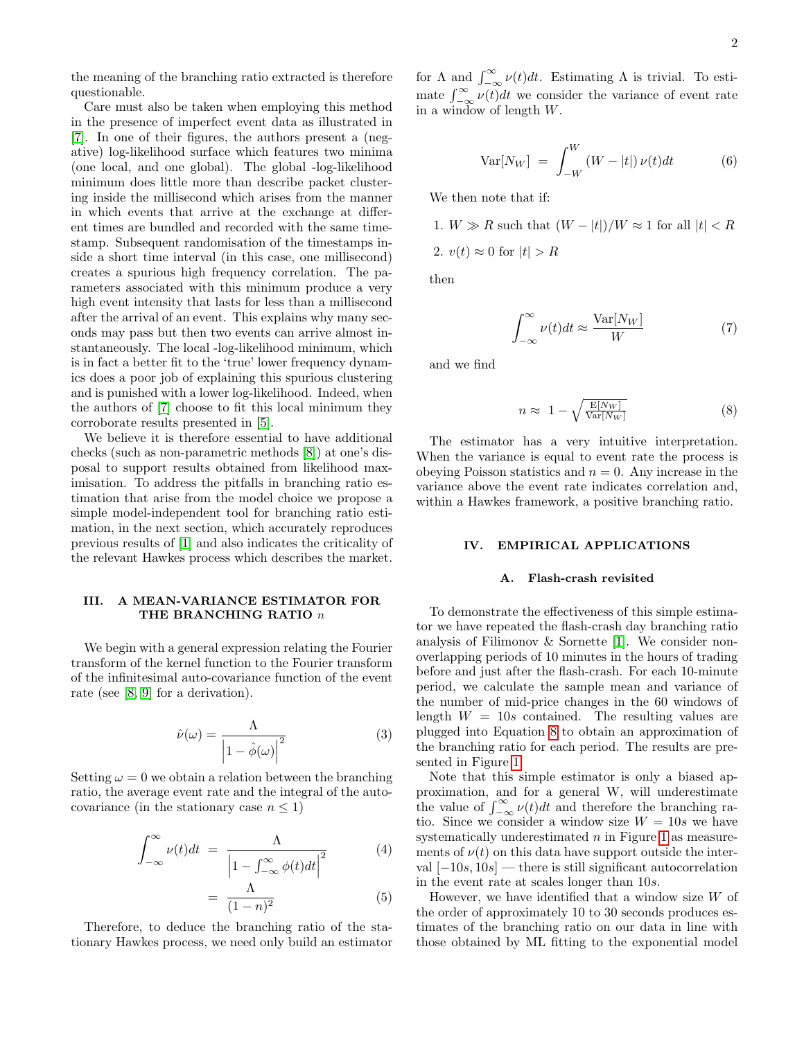2

the meaning of the branching ratio extracted is therefore questionable.

Care must also be taken when employing this method in the presence of imperfect event data as illustrated in [\[7\]](#page-3-6). In one of their figures, the authors present a (negative) log-likelihood surface which features two minima (one local, and one global). The global -log-likelihood minimum does little more than describe packet clustering inside the millisecond which arises from the manner in which events that arrive at the exchange at different times are bundled and recorded with the same timestamp. Subsequent randomisation of the timestamps inside a short time interval (in this case, one millisecond) creates a spurious high frequency correlation. The parameters associated with this minimum produce a very high event intensity that lasts for less than a millisecond after the arrival of an event. This explains why many seconds may pass but then two events can arrive almost instantaneously. The local -log-likelihood minimum, which is in fact a better fit to the 'true' lower frequency dynamics does a poor job of explaining this spurious clustering and is punished with a lower log-likelihood. Indeed, when the authors of [\[7\]](#page-3-6) choose to fit this local minimum they corroborate results presented in [\[5\]](#page-3-4).

We believe it is therefore essential to have additional checks (such as non-parametric methods [\[8\]](#page-3-7)) at one's disposal to support results obtained from likelihood maximisation. To address the pitfalls in branching ratio estimation that arise from the model choice we propose a simple model-independent tool for branching ratio estimation, in the next section, which accurately reproduces previous results of [\[1\]](#page-3-0) and also indicates the criticality of the relevant Hawkes process which describes the market.

### III. A MEAN-VARIANCE ESTIMATOR FOR THE BRANCHING RATIO  $n$

We begin with a general expression relating the Fourier transform of the kernel function to the Fourier transform of the infinitesimal auto-covariance function of the event rate (see [\[8,](#page-3-7) [9\]](#page-3-8) for a derivation).

$$
\hat{\nu}(\omega) = \frac{\Lambda}{\left|1 - \hat{\phi}(\omega)\right|^2} \tag{3}
$$

Setting  $\omega = 0$  we obtain a relation between the branching ratio, the average event rate and the integral of the autocovariance (in the stationary case  $n \leq 1$ )

$$
\int_{-\infty}^{\infty} \nu(t)dt = \frac{\Lambda}{\left|1 - \int_{-\infty}^{\infty} \phi(t)dt\right|^2}
$$
 (4)

$$
= \frac{\Lambda}{(1-n)^2} \tag{5}
$$

Therefore, to deduce the branching ratio of the stationary Hawkes process, we need only build an estimator

for  $\Lambda$  and  $\int_{-\infty}^{\infty} \nu(t) dt$ . Estimating  $\Lambda$  is trivial. To estimate  $\int_{-\infty}^{\infty} \nu(t) dt$  we consider the variance of event rate in a window of length W.

$$
\text{Var}[N_W] = \int_{-W}^{W} (W - |t|) \nu(t) dt \tag{6}
$$

We then note that if:

1.  $W \gg R$  such that  $(W - |t|)/W \approx 1$  for all  $|t| < R$ 2.  $v(t) \approx 0$  for  $|t| > R$ 

then

$$
\int_{-\infty}^{\infty} \nu(t)dt \approx \frac{\text{Var}[N_W]}{W} \tag{7}
$$

and we find

<span id="page-1-0"></span>
$$
n \approx 1 - \sqrt{\frac{\mathrm{E}[N_W]}{\mathrm{Var}[N_W]}} \tag{8}
$$

The estimator has a very intuitive interpretation. When the variance is equal to event rate the process is obeying Poisson statistics and  $n = 0$ . Any increase in the variance above the event rate indicates correlation and, within a Hawkes framework, a positive branching ratio.

### IV. EMPIRICAL APPLICATIONS

## A. Flash-crash revisited

To demonstrate the effectiveness of this simple estimator we have repeated the flash-crash day branching ratio analysis of Filimonov & Sornette [\[1\]](#page-3-0). We consider nonoverlapping periods of 10 minutes in the hours of trading before and just after the flash-crash. For each 10-minute period, we calculate the sample mean and variance of the number of mid-price changes in the 60 windows of length  $W = 10s$  contained. The resulting values are plugged into Equation [8](#page-1-0) to obtain an approximation of the branching ratio for each period. The results are presented in Figure [1.](#page-2-0)

Note that this simple estimator is only a biased approximation, and for a general W, will underestimate the value of  $\int_{-\infty}^{\infty} \nu(t) dt$  and therefore the branching ratio. Since we consider a window size  $W = 10s$  we have systematically underestimated  $n$  in Figure [1](#page-2-0) as measurements of  $\nu(t)$  on this data have support outside the interval  $[-10s, 10s]$  — there is still significant autocorrelation in the event rate at scales longer than 10s.

However, we have identified that a window size  $W$  of the order of approximately 10 to 30 seconds produces estimates of the branching ratio on our data in line with those obtained by ML fitting to the exponential model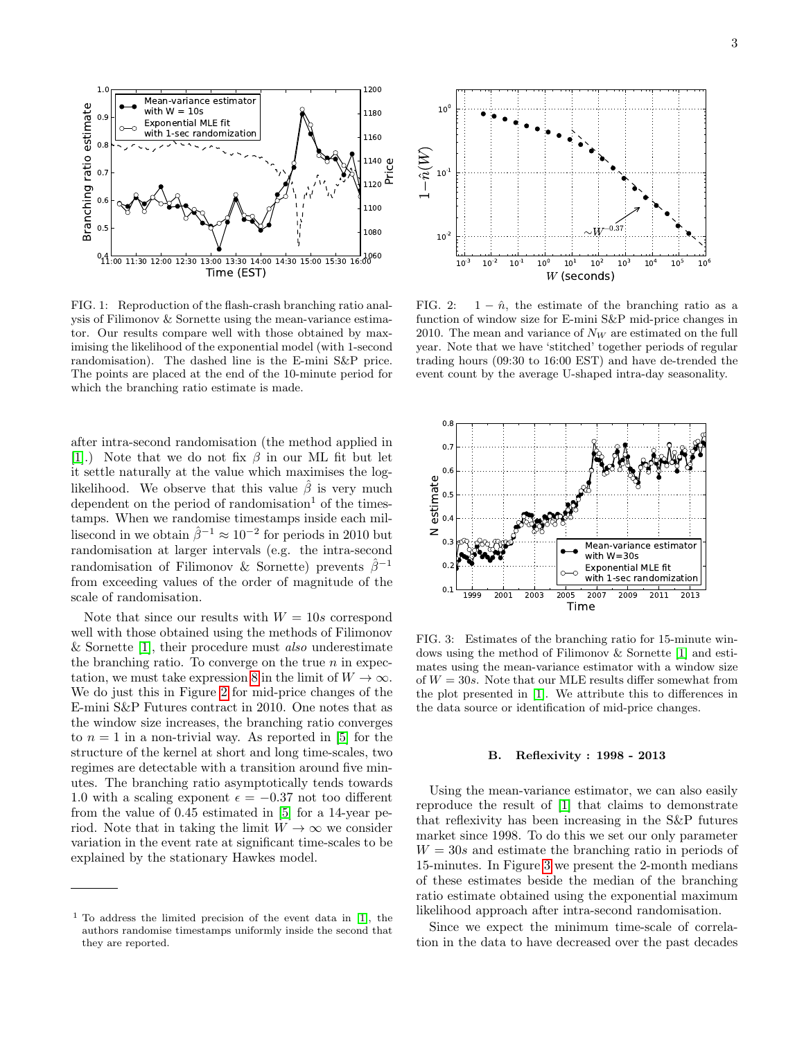

<span id="page-2-0"></span>FIG. 1: Reproduction of the flash-crash branching ratio analysis of Filimonov & Sornette using the mean-variance estimator. Our results compare well with those obtained by maximising the likelihood of the exponential model (with 1-second randomisation). The dashed line is the E-mini S&P price. The points are placed at the end of the 10-minute period for which the branching ratio estimate is made.

after intra-second randomisation (the method applied in [\[1\]](#page-3-0).) Note that we do not fix  $\beta$  in our ML fit but let it settle naturally at the value which maximises the loglikelihood. We observe that this value  $\hat{\beta}$  is very much dependent on the period of randomisation<sup>1</sup> of the timestamps. When we randomise timestamps inside each millisecond in we obtain  $\hat{\beta}^{-1} \approx 10^{-2}$  for periods in 2010 but randomisation at larger intervals (e.g. the intra-second randomisation of Filimonov & Sornette) prevents  $\hat{\beta}^{-1}$ from exceeding values of the order of magnitude of the scale of randomisation.

Note that since our results with  $W = 10s$  correspond well with those obtained using the methods of Filimonov & Sornette [\[1\]](#page-3-0), their procedure must *also* underestimate the branching ratio. To converge on the true  $n$  in expec-tation, we must take expression [8](#page-1-0) in the limit of  $W \to \infty$ . We do just this in Figure [2](#page-2-1) for mid-price changes of the E-mini S&P Futures contract in 2010. One notes that as the window size increases, the branching ratio converges to  $n = 1$  in a non-trivial way. As reported in [\[5\]](#page-3-4) for the structure of the kernel at short and long time-scales, two regimes are detectable with a transition around five minutes. The branching ratio asymptotically tends towards 1.0 with a scaling exponent  $\epsilon = -0.37$  not too different from the value of 0.45 estimated in [\[5\]](#page-3-4) for a 14-year period. Note that in taking the limit  $W \to \infty$  we consider variation in the event rate at significant time-scales to be explained by the stationary Hawkes model.



<span id="page-2-1"></span>FIG. 2:  $1 - \hat{n}$ , the estimate of the branching ratio as a function of window size for E-mini S&P mid-price changes in 2010. The mean and variance of  $N_W$  are estimated on the full year. Note that we have 'stitched' together periods of regular trading hours (09:30 to 16:00 EST) and have de-trended the event count by the average U-shaped intra-day seasonality.



<span id="page-2-2"></span>FIG. 3: Estimates of the branching ratio for 15-minute windows using the method of Filimonov & Sornette [\[1\]](#page-3-0) and estimates using the mean-variance estimator with a window size of  $W = 30s$ . Note that our MLE results differ somewhat from the plot presented in [\[1\]](#page-3-0). We attribute this to differences in the data source or identification of mid-price changes.

### B. Reflexivity : 1998 - 2013

Using the mean-variance estimator, we can also easily reproduce the result of [\[1\]](#page-3-0) that claims to demonstrate that reflexivity has been increasing in the S&P futures market since 1998. To do this we set our only parameter  $W = 30s$  and estimate the branching ratio in periods of 15-minutes. In Figure [3](#page-2-2) we present the 2-month medians of these estimates beside the median of the branching ratio estimate obtained using the exponential maximum likelihood approach after intra-second randomisation.

Since we expect the minimum time-scale of correlation in the data to have decreased over the past decades

<sup>&</sup>lt;sup>1</sup> To address the limited precision of the event data in [\[1\]](#page-3-0), the authors randomise timestamps uniformly inside the second that they are reported.